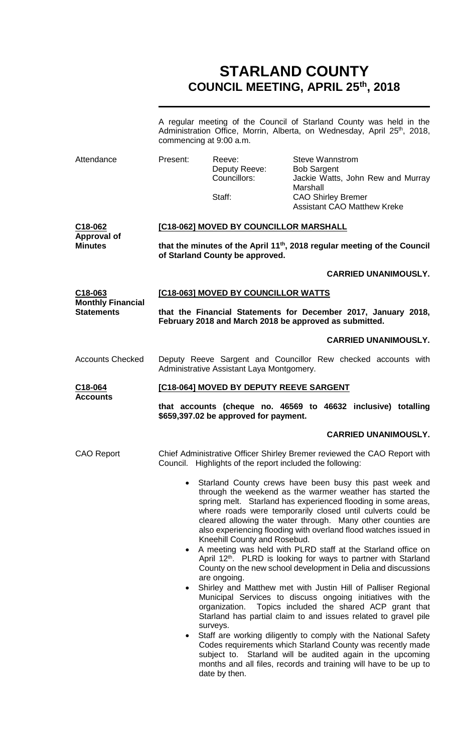# **STARLAND COUNTY COUNCIL MEETING, APRIL 25th, 2018**

|                                                  |                                                                                                                         | commencing at 9:00 a.m.                                   | A regular meeting of the Council of Starland County was held in the<br>Administration Office, Morrin, Alberta, on Wednesday, April 25 <sup>th</sup> , 2018,                                                                                                                                                                                                                             |  |
|--------------------------------------------------|-------------------------------------------------------------------------------------------------------------------------|-----------------------------------------------------------|-----------------------------------------------------------------------------------------------------------------------------------------------------------------------------------------------------------------------------------------------------------------------------------------------------------------------------------------------------------------------------------------|--|
| Attendance                                       | Present:                                                                                                                | Reeve:<br>Deputy Reeve:<br>Councillors:<br>Staff:         | <b>Steve Wannstrom</b><br><b>Bob Sargent</b><br>Jackie Watts, John Rew and Murray<br>Marshall<br><b>CAO Shirley Bremer</b><br><b>Assistant CAO Matthew Kreke</b>                                                                                                                                                                                                                        |  |
| C18-062                                          | [C18-062] MOVED BY COUNCILLOR MARSHALL                                                                                  |                                                           |                                                                                                                                                                                                                                                                                                                                                                                         |  |
| <b>Approval of</b><br><b>Minutes</b>             | that the minutes of the April 11 <sup>th</sup> , 2018 regular meeting of the Council<br>of Starland County be approved. |                                                           |                                                                                                                                                                                                                                                                                                                                                                                         |  |
|                                                  |                                                                                                                         |                                                           | <b>CARRIED UNANIMOUSLY.</b>                                                                                                                                                                                                                                                                                                                                                             |  |
| C <sub>18</sub> -063<br><b>Monthly Financial</b> |                                                                                                                         | [C18-063] MOVED BY COUNCILLOR WATTS                       |                                                                                                                                                                                                                                                                                                                                                                                         |  |
| <b>Statements</b>                                |                                                                                                                         |                                                           | that the Financial Statements for December 2017, January 2018,<br>February 2018 and March 2018 be approved as submitted.                                                                                                                                                                                                                                                                |  |
|                                                  |                                                                                                                         |                                                           | <b>CARRIED UNANIMOUSLY.</b>                                                                                                                                                                                                                                                                                                                                                             |  |
| <b>Accounts Checked</b>                          | Deputy Reeve Sargent and Councillor Rew checked accounts with<br>Administrative Assistant Laya Montgomery.              |                                                           |                                                                                                                                                                                                                                                                                                                                                                                         |  |
| C18-064<br><b>Accounts</b>                       | [C18-064] MOVED BY DEPUTY REEVE SARGENT                                                                                 |                                                           |                                                                                                                                                                                                                                                                                                                                                                                         |  |
|                                                  | that accounts (cheque no. 46569 to 46632 inclusive) totalling<br>\$659,397.02 be approved for payment.                  |                                                           |                                                                                                                                                                                                                                                                                                                                                                                         |  |
|                                                  |                                                                                                                         |                                                           | <b>CARRIED UNANIMOUSLY.</b>                                                                                                                                                                                                                                                                                                                                                             |  |
| <b>CAO Report</b>                                |                                                                                                                         | Council. Highlights of the report included the following: | Chief Administrative Officer Shirley Bremer reviewed the CAO Report with                                                                                                                                                                                                                                                                                                                |  |
|                                                  | $\bullet$                                                                                                               | Kneehill County and Rosebud.                              | Starland County crews have been busy this past week and<br>through the weekend as the warmer weather has started the<br>spring melt. Starland has experienced flooding in some areas,<br>where roads were temporarily closed until culverts could be<br>cleared allowing the water through. Many other counties are<br>also experiencing flooding with overland flood watches issued in |  |
|                                                  | $\bullet$                                                                                                               | are ongoing.                                              | A meeting was held with PLRD staff at the Starland office on<br>April 12 <sup>th</sup> . PLRD is looking for ways to partner with Starland<br>County on the new school development in Delia and discussions                                                                                                                                                                             |  |
|                                                  | $\bullet$                                                                                                               | organization.                                             | Shirley and Matthew met with Justin Hill of Palliser Regional<br>Municipal Services to discuss ongoing initiatives with the<br>Topics included the shared ACP grant that<br>Starland has partial claim to and issues related to gravel pile                                                                                                                                             |  |
|                                                  | $\bullet$                                                                                                               | surveys.<br>date by then.                                 | Staff are working diligently to comply with the National Safety<br>Codes requirements which Starland County was recently made<br>subject to. Starland will be audited again in the upcoming<br>months and all files, records and training will have to be up to                                                                                                                         |  |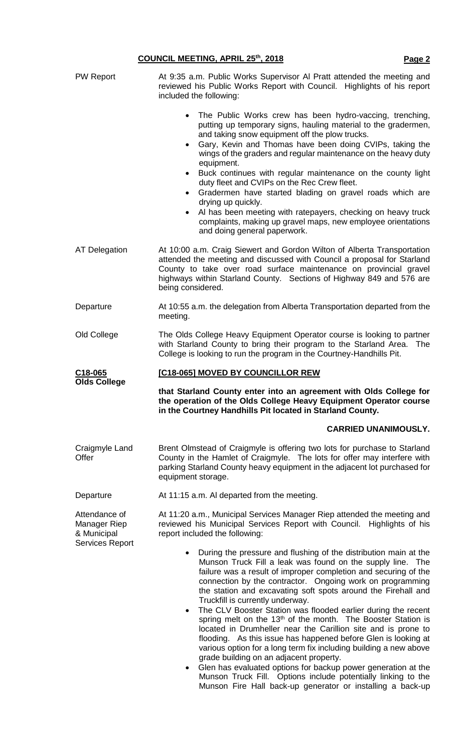## **COUNCIL MEETING, APRIL 25th, 2018 Page2**

| PW Report                                                       | At 9:35 a.m. Public Works Supervisor Al Pratt attended the meeting and<br>reviewed his Public Works Report with Council. Highlights of his report<br>included the following:                                                                                                                                                                                                                                                                                                                                                                                                                                                                                                                                                                       |  |  |  |  |
|-----------------------------------------------------------------|----------------------------------------------------------------------------------------------------------------------------------------------------------------------------------------------------------------------------------------------------------------------------------------------------------------------------------------------------------------------------------------------------------------------------------------------------------------------------------------------------------------------------------------------------------------------------------------------------------------------------------------------------------------------------------------------------------------------------------------------------|--|--|--|--|
|                                                                 | The Public Works crew has been hydro-vaccing, trenching,<br>$\bullet$<br>putting up temporary signs, hauling material to the gradermen,<br>and taking snow equipment off the plow trucks.<br>Gary, Kevin and Thomas have been doing CVIPs, taking the<br>٠<br>wings of the graders and regular maintenance on the heavy duty<br>equipment.<br>Buck continues with regular maintenance on the county light<br>$\bullet$<br>duty fleet and CVIPs on the Rec Crew fleet.<br>Gradermen have started blading on gravel roads which are<br>$\bullet$<br>drying up quickly.<br>Al has been meeting with ratepayers, checking on heavy truck<br>complaints, making up gravel maps, new employee orientations<br>and doing general paperwork.               |  |  |  |  |
| <b>AT Delegation</b>                                            | At 10:00 a.m. Craig Siewert and Gordon Wilton of Alberta Transportation<br>attended the meeting and discussed with Council a proposal for Starland<br>County to take over road surface maintenance on provincial gravel<br>highways within Starland County. Sections of Highway 849 and 576 are<br>being considered.                                                                                                                                                                                                                                                                                                                                                                                                                               |  |  |  |  |
| Departure                                                       | At 10:55 a.m. the delegation from Alberta Transportation departed from the<br>meeting.                                                                                                                                                                                                                                                                                                                                                                                                                                                                                                                                                                                                                                                             |  |  |  |  |
| Old College                                                     | The Olds College Heavy Equipment Operator course is looking to partner<br>with Starland County to bring their program to the Starland Area. The<br>College is looking to run the program in the Courtney-Handhills Pit.                                                                                                                                                                                                                                                                                                                                                                                                                                                                                                                            |  |  |  |  |
| C <sub>18</sub> -065                                            | <b>[C18-065] MOVED BY COUNCILLOR REW</b>                                                                                                                                                                                                                                                                                                                                                                                                                                                                                                                                                                                                                                                                                                           |  |  |  |  |
| <b>Olds College</b>                                             | that Starland County enter into an agreement with Olds College for<br>the operation of the Olds College Heavy Equipment Operator course<br>in the Courtney Handhills Pit located in Starland County.                                                                                                                                                                                                                                                                                                                                                                                                                                                                                                                                               |  |  |  |  |
|                                                                 | <b>CARRIED UNANIMOUSLY.</b>                                                                                                                                                                                                                                                                                                                                                                                                                                                                                                                                                                                                                                                                                                                        |  |  |  |  |
| Craigmyle Land<br>Offer                                         | Brent Olmstead of Craigmyle is offering two lots for purchase to Starland<br>County in the Hamlet of Craigmyle. The lots for offer may interfere with<br>parking Starland County heavy equipment in the adjacent lot purchased for<br>equipment storage.                                                                                                                                                                                                                                                                                                                                                                                                                                                                                           |  |  |  |  |
| Departure                                                       | At 11:15 a.m. Al departed from the meeting.                                                                                                                                                                                                                                                                                                                                                                                                                                                                                                                                                                                                                                                                                                        |  |  |  |  |
| Attendance of<br>Manager Riep<br>& Municipal<br>Services Report | At 11:20 a.m., Municipal Services Manager Riep attended the meeting and<br>reviewed his Municipal Services Report with Council. Highlights of his<br>report included the following:                                                                                                                                                                                                                                                                                                                                                                                                                                                                                                                                                                |  |  |  |  |
|                                                                 | During the pressure and flushing of the distribution main at the<br>$\bullet$<br>Munson Truck Fill a leak was found on the supply line. The<br>failure was a result of improper completion and securing of the<br>connection by the contractor. Ongoing work on programming<br>the station and excavating soft spots around the Firehall and<br>Truckfill is currently underway.<br>The CLV Booster Station was flooded earlier during the recent<br>$\bullet$<br>spring melt on the 13 <sup>th</sup> of the month. The Booster Station is<br>located in Drumheller near the Carillion site and is prone to<br>flooding. As this issue has happened before Glen is looking at<br>various option for a long term fix including building a new above |  |  |  |  |

Munson Fire Hall back-up generator or installing a back-up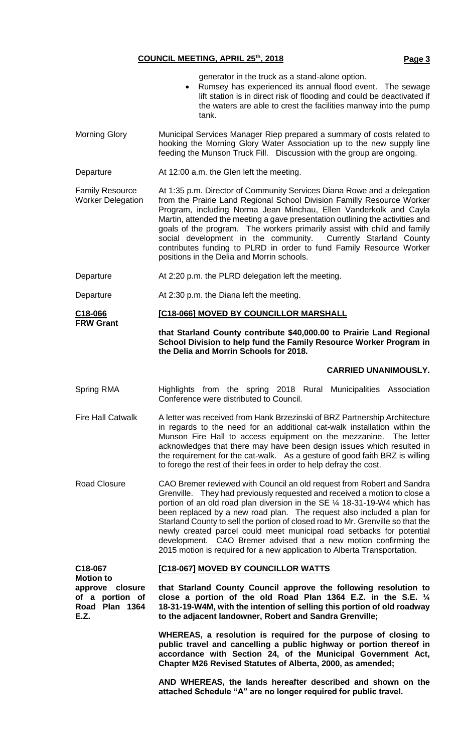### **COUNCIL MEETING, APRIL 25th, 2018 Page3**

- generator in the truck as a stand-alone option.
- Rumsey has experienced its annual flood event. The sewage lift station is in direct risk of flooding and could be deactivated if the waters are able to crest the facilities manway into the pump tank.
- Morning Glory Municipal Services Manager Riep prepared a summary of costs related to hooking the Morning Glory Water Association up to the new supply line feeding the Munson Truck Fill. Discussion with the group are ongoing.
- Departure At 12:00 a.m. the Glen left the meeting.

Family Resource Worker Delegation At 1:35 p.m. Director of Community Services Diana Rowe and a delegation from the Prairie Land Regional School Division Familly Resource Worker Program, including Norma Jean Minchau, Ellen Vanderkolk and Cayla Martin, attended the meeting a gave presentation outlining the activities and goals of the program. The workers primarily assist with child and family social development in the community. Currently Starland County contributes funding to PLRD in order to fund Family Resource Worker positions in the Delia and Morrin schools.

- Departure **At 2:20 p.m. the PLRD delegation left the meeting.**
- Departure At 2:30 p.m. the Diana left the meeting.

**C18-066 FRW Grant [C18-066] MOVED BY COUNCILLOR MARSHALL**

> **that Starland County contribute \$40,000.00 to Prairie Land Regional School Division to help fund the Family Resource Worker Program in the Delia and Morrin Schools for 2018.**

#### **CARRIED UNANIMOUSLY.**

- Spring RMA **Highlights from the spring 2018 Rural Municipalities Association** Conference were distributed to Council.
- Fire Hall Catwalk A letter was received from Hank Brzezinski of BRZ Partnership Architecture in regards to the need for an additional cat-walk installation within the Munson Fire Hall to access equipment on the mezzanine. The letter acknowledges that there may have been design issues which resulted in the requirement for the cat-walk. As a gesture of good faith BRZ is willing to forego the rest of their fees in order to help defray the cost.
- Road Closure CAO Bremer reviewed with Council an old request from Robert and Sandra Grenville. They had previously requested and received a motion to close a portion of an old road plan diversion in the SE ¼ 18-31-19-W4 which has been replaced by a new road plan. The request also included a plan for Starland County to sell the portion of closed road to Mr. Grenville so that the newly created parcel could meet municipal road setbacks for potential development. CAO Bremer advised that a new motion confirming the 2015 motion is required for a new application to Alberta Transportation.

| C18-067                                   | [C18-067] MOVED BY COUNCILLOR WATTS                                                                                                                                                                            |  |  |
|-------------------------------------------|----------------------------------------------------------------------------------------------------------------------------------------------------------------------------------------------------------------|--|--|
| <b>Motion to</b><br>approve closure       | that Starland County Council approve the following resolution to                                                                                                                                               |  |  |
| of a portion of<br>Road Plan 1364<br>E.Z. | close a portion of the old Road Plan 1364 E.Z. in the S.E. $\frac{1}{4}$<br>18-31-19-W4M, with the intention of selling this portion of old roadway<br>to the adjacent landowner, Robert and Sandra Grenville; |  |  |
|                                           |                                                                                                                                                                                                                |  |  |

**WHEREAS, a resolution is required for the purpose of closing to public travel and cancelling a public highway or portion thereof in accordance with Section 24, of the Municipal Government Act, Chapter M26 Revised Statutes of Alberta, 2000, as amended;**

**AND WHEREAS, the lands hereafter described and shown on the attached Schedule "A" are no longer required for public travel.**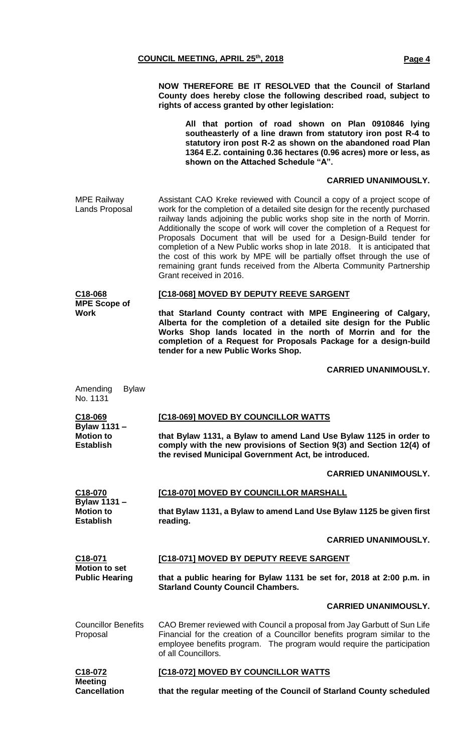**NOW THEREFORE BE IT RESOLVED that the Council of Starland County does hereby close the following described road, subject to rights of access granted by other legislation:**

**All that portion of road shown on Plan 0910846 lying southeasterly of a line drawn from statutory iron post R-4 to statutory iron post R-2 as shown on the abandoned road Plan 1364 E.Z. containing 0.36 hectares (0.96 acres) more or less, as shown on the Attached Schedule "A".**

#### **CARRIED UNANIMOUSLY.**

MPE Railway Lands Proposal Assistant CAO Kreke reviewed with Council a copy of a project scope of work for the completion of a detailed site design for the recently purchased railway lands adjoining the public works shop site in the north of Morrin. Additionally the scope of work will cover the completion of a Request for Proposals Document that will be used for a Design-Build tender for completion of a New Public works shop in late 2018. It is anticipated that the cost of this work by MPE will be partially offset through the use of remaining grant funds received from the Alberta Community Partnership Grant received in 2016.

| C18-068             | <b>[C18-068] MOVED BY DEPUTY REEVE SARGENT</b> |
|---------------------|------------------------------------------------|
| <b>MPE Scope of</b> |                                                |
| Work                | that Starland County contract with MPE Enginee |

**that Starland County contract with MPE Engineering of Calgary, Alberta for the completion of a detailed site design for the Public Works Shop lands located in the north of Morrin and for the completion of a Request for Proposals Package for a design-build tender for a new Public Works Shop.**

#### **CARRIED UNANIMOUSLY.**

| Amending<br><b>Bylaw</b><br>No. 1131          |                                                                                                                                                                                                                                                         |
|-----------------------------------------------|---------------------------------------------------------------------------------------------------------------------------------------------------------------------------------------------------------------------------------------------------------|
| C18-069                                       | [C18-069] MOVED BY COUNCILLOR WATTS                                                                                                                                                                                                                     |
| Bylaw 1131 -<br><b>Motion to</b><br>Establish | that Bylaw 1131, a Bylaw to amend Land Use Bylaw 1125 in order to<br>comply with the new provisions of Section 9(3) and Section 12(4) of<br>the revised Municipal Government Act, be introduced.                                                        |
|                                               | <b>CARRIED UNANIMOUSLY.</b>                                                                                                                                                                                                                             |
| C18-070                                       | [C18-070] MOVED BY COUNCILLOR MARSHALL                                                                                                                                                                                                                  |
| Bylaw 1131 -<br><b>Motion to</b><br>Establish | that Bylaw 1131, a Bylaw to amend Land Use Bylaw 1125 be given first<br>reading.                                                                                                                                                                        |
|                                               | <b>CARRIED UNANIMOUSLY.</b>                                                                                                                                                                                                                             |
| C18-071                                       | [C18-071] MOVED BY DEPUTY REEVE SARGENT                                                                                                                                                                                                                 |
| <b>Motion to set</b><br><b>Public Hearing</b> | that a public hearing for Bylaw 1131 be set for, 2018 at 2:00 p.m. in<br><b>Starland County Council Chambers.</b>                                                                                                                                       |
|                                               | <b>CARRIED UNANIMOUSLY.</b>                                                                                                                                                                                                                             |
| <b>Councillor Benefits</b><br>Proposal        | CAO Bremer reviewed with Council a proposal from Jay Garbutt of Sun Life<br>Financial for the creation of a Councillor benefits program similar to the<br>employee benefits program. The program would require the participation<br>of all Councillors. |
| C18-072                                       |                                                                                                                                                                                                                                                         |

**Meeting Cancellation**

**that the regular meeting of the Council of Starland County scheduled**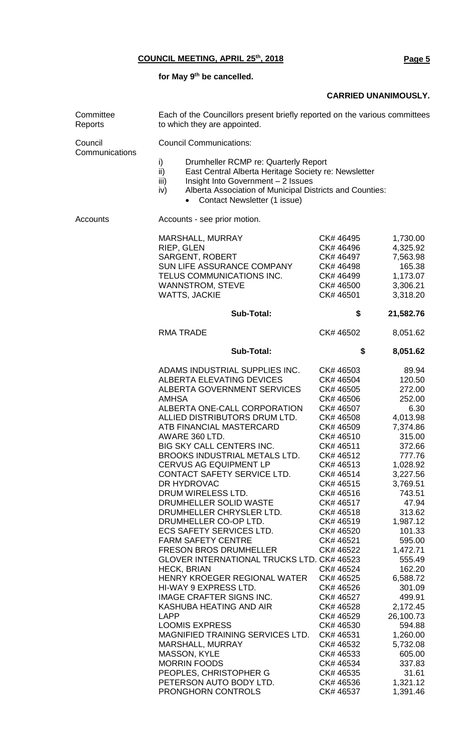**for May 9th be cancelled.**

#### **CARRIED UNANIMOUSLY.**

| Committee<br>Reports      | Each of the Councillors present briefly reported on the various committees<br>to which they are appointed.                                                                                                                                                                                                                                                                                                                                                                                                                                                                                      |                                                                                                                                                                                                                                                                                                                                                                                |                                                                                                                                                                                                                                                                                                                                                                                                                              |                                                                                                                                                                                                                                                                                                                                                                        |  |
|---------------------------|-------------------------------------------------------------------------------------------------------------------------------------------------------------------------------------------------------------------------------------------------------------------------------------------------------------------------------------------------------------------------------------------------------------------------------------------------------------------------------------------------------------------------------------------------------------------------------------------------|--------------------------------------------------------------------------------------------------------------------------------------------------------------------------------------------------------------------------------------------------------------------------------------------------------------------------------------------------------------------------------|------------------------------------------------------------------------------------------------------------------------------------------------------------------------------------------------------------------------------------------------------------------------------------------------------------------------------------------------------------------------------------------------------------------------------|------------------------------------------------------------------------------------------------------------------------------------------------------------------------------------------------------------------------------------------------------------------------------------------------------------------------------------------------------------------------|--|
| Council<br>Communications | <b>Council Communications:</b>                                                                                                                                                                                                                                                                                                                                                                                                                                                                                                                                                                  |                                                                                                                                                                                                                                                                                                                                                                                |                                                                                                                                                                                                                                                                                                                                                                                                                              |                                                                                                                                                                                                                                                                                                                                                                        |  |
|                           | i)<br>Drumheller RCMP re: Quarterly Report<br>ii)<br>East Central Alberta Heritage Society re: Newsletter<br>iii)<br>Insight Into Government - 2 Issues<br>Alberta Association of Municipal Districts and Counties:<br>iv)<br>Contact Newsletter (1 issue)<br>$\bullet$                                                                                                                                                                                                                                                                                                                         |                                                                                                                                                                                                                                                                                                                                                                                |                                                                                                                                                                                                                                                                                                                                                                                                                              |                                                                                                                                                                                                                                                                                                                                                                        |  |
| Accounts                  | Accounts - see prior motion.                                                                                                                                                                                                                                                                                                                                                                                                                                                                                                                                                                    |                                                                                                                                                                                                                                                                                                                                                                                |                                                                                                                                                                                                                                                                                                                                                                                                                              |                                                                                                                                                                                                                                                                                                                                                                        |  |
|                           | MARSHALL, MURRAY<br>RIEP, GLEN<br><b>SARGENT, ROBERT</b><br>TELUS COMMUNICATIONS INC.<br><b>WANNSTROM, STEVE</b><br><b>WATTS, JACKIE</b>                                                                                                                                                                                                                                                                                                                                                                                                                                                        | SUN LIFE ASSURANCE COMPANY                                                                                                                                                                                                                                                                                                                                                     | CK# 46495<br>CK# 46496<br>CK# 46497<br>CK# 46498<br>CK# 46499<br>CK# 46500<br>CK# 46501                                                                                                                                                                                                                                                                                                                                      | 1,730.00<br>4,325.92<br>7,563.98<br>165.38<br>1,173.07<br>3,306.21<br>3,318.20                                                                                                                                                                                                                                                                                         |  |
|                           |                                                                                                                                                                                                                                                                                                                                                                                                                                                                                                                                                                                                 | <b>Sub-Total:</b>                                                                                                                                                                                                                                                                                                                                                              | \$                                                                                                                                                                                                                                                                                                                                                                                                                           | 21,582.76                                                                                                                                                                                                                                                                                                                                                              |  |
|                           | <b>RMA TRADE</b>                                                                                                                                                                                                                                                                                                                                                                                                                                                                                                                                                                                |                                                                                                                                                                                                                                                                                                                                                                                | CK# 46502                                                                                                                                                                                                                                                                                                                                                                                                                    | 8,051.62                                                                                                                                                                                                                                                                                                                                                               |  |
|                           |                                                                                                                                                                                                                                                                                                                                                                                                                                                                                                                                                                                                 | <b>Sub-Total:</b>                                                                                                                                                                                                                                                                                                                                                              | \$                                                                                                                                                                                                                                                                                                                                                                                                                           | 8,051.62                                                                                                                                                                                                                                                                                                                                                               |  |
|                           | <b>ALBERTA ELEVATING DEVICES</b><br><b>AMHSA</b><br>ATB FINANCIAL MASTERCARD<br>AWARE 360 LTD.<br><b>BIG SKY CALL CENTERS INC.</b><br><b>CERVUS AG EQUIPMENT LP</b><br>DR HYDROVAC<br>DRUM WIRELESS LTD.<br>DRUMHELLER SOLID WASTE<br>DRUMHELLER CO-OP LTD.<br>ECS SAFETY SERVICES LTD.<br><b>FARM SAFETY CENTRE</b><br><b>FRESON BROS DRUMHELLER</b><br><b>HECK, BRIAN</b><br>HI-WAY 9 EXPRESS LTD.<br>IMAGE CRAFTER SIGNS INC.<br>KASHUBA HEATING AND AIR<br><b>LAPP</b><br><b>LOOMIS EXPRESS</b><br>MARSHALL, MURRAY<br><b>MASSON, KYLE</b><br><b>MORRIN FOODS</b><br>PEOPLES, CHRISTOPHER G | ADAMS INDUSTRIAL SUPPLIES INC.<br><b>ALBERTA GOVERNMENT SERVICES</b><br>ALBERTA ONE-CALL CORPORATION<br>ALLIED DISTRIBUTORS DRUM LTD.<br>BROOKS INDUSTRIAL METALS LTD.<br>CONTACT SAFETY SERVICE LTD.<br>DRUMHELLER CHRYSLER LTD.<br>GLOVER INTERNATIONAL TRUCKS LTD. CK# 46523<br>HENRY KROEGER REGIONAL WATER<br>MAGNIFIED TRAINING SERVICES LTD.<br>PETERSON AUTO BODY LTD. | CK# 46503<br>CK# 46504<br>CK# 46505<br>CK# 46506<br>CK# 46507<br>CK# 46508<br>CK# 46509<br>CK# 46510<br>CK# 46511<br>CK# 46512<br>CK# 46513<br>CK# 46514<br>CK# 46515<br>CK# 46516<br>CK# 46517<br>CK# 46518<br>CK# 46519<br>CK# 46520<br>CK# 46521<br>CK# 46522<br>CK# 46524<br>CK# 46525<br>CK# 46526<br>CK# 46527<br>CK# 46528<br>CK# 46529<br>CK# 46530<br>CK# 46531<br>CK# 46532<br>CK# 46533<br>CK# 46534<br>CK# 46535 | 89.94<br>120.50<br>272.00<br>252.00<br>6.30<br>4,013.98<br>7,374.86<br>315.00<br>372.66<br>777.76<br>1,028.92<br>3,227.56<br>3,769.51<br>743.51<br>47.94<br>313.62<br>1,987.12<br>101.33<br>595.00<br>1,472.71<br>555.49<br>162.20<br>6,588.72<br>301.09<br>499.91<br>2,172.45<br>26,100.73<br>594.88<br>1,260.00<br>5,732.08<br>605.00<br>337.83<br>31.61<br>1,321.12 |  |